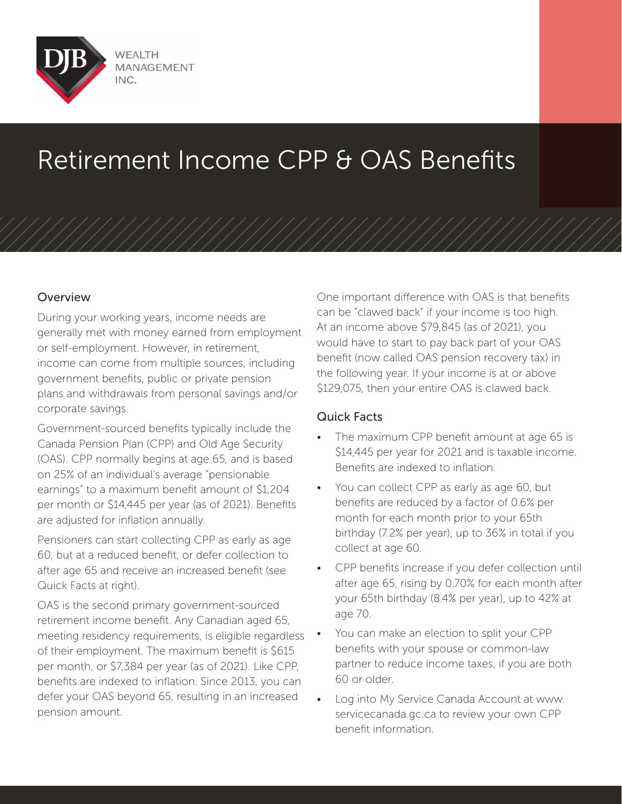

## Retirement Income CPP & OAS Benefits

## Overview

During your working years, income needs are generally met with money earned from employment or self-employment. However, in retirement, income can come from multiple sources, including government benefits, public or private pension plans and withdrawals from personal savings and/or corporate savings.

Government-sourced benefits typically include the Canada Pension Plan (CPP) and Old Age Security (OAS). CPP normally begins at age 65, and is based on 25% of an individual's average "pensionable earnings" to a maximum benefit amount of \$1,204 per month or \$14,445 per year (as of 2021). Benefits are adjusted for inflation annually.

Pensioners can start collecting CPP as early as age 60, but at a reduced benefit, or defer collection to after age 65 and receive an increased benefit (see Quick Facts at right).

OAS is the second primary government-sourced retirement income benefit. Any Canadian aged 65, meeting residency requirements, is eligible regardless of their employment. The maximum benefit is \$615 per month, or \$7,384 per year (as of 2021). Like CPP, benefits are indexed to inflation. Since 2013, you can defer your OAS beyond 65, resulting in an increased pension amount.

One important difference with OAS is that benefits can be "clawed back" if your income is too high. At an income above \$79,845 (as of 2021), you would have to start to pay back part of your OAS benefit (now called OAS pension recovery tax) in the following year. If your income is at or above \$129,075, then your entire OAS is clawed back.

## Quick Facts

- The maximum CPP benefit amount at age 65 is \$14,445 per year for 2021 and is taxable income. Benefits are indexed to inflation.
- You can collect CPP as early as age 60, but benefits are reduced by a factor of 0.6% per month for each month prior to your 65th birthday (7.2% per year), up to 36% in total if you collect at age 60.
- CPP benefits increase if you defer collection until after age 65, rising by 0.70% for each month after your 65th birthday (8.4% per year), up to 42% at age 70.
- You can make an election to split your CPP benefits with your spouse or common-law partner to reduce income taxes, if you are both 60 or older.
- Log into My Service Canada Account at www. servicecanada.gc.ca to review your own CPP benefit information.